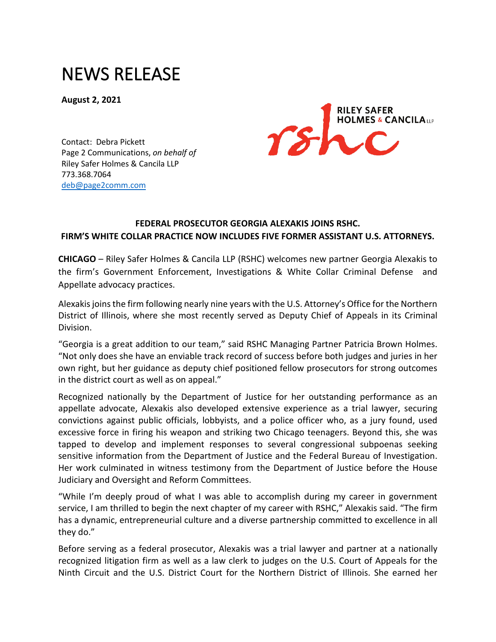## NEWS RELEASE

**August 2, 2021**



Contact: Debra Pickett Page 2 Communications, *on behalf of* Riley Safer Holmes & Cancila LLP 773.368.7064 [deb@page2comm.com](mailto:deb@page2comm.com?subject=RSHC%2520Press%2520Release)

## **FEDERAL PROSECUTOR [GEORGIA ALEXAKIS](https://www.rshc-law.com/attorneys/attorney/georgia-n.-alexakis) JOINS RSHC. FIRM'S WHITE COLLAR PRACTICE NOW INCLUDES FIVE FORMER ASSISTANT U.S. ATTORNEYS.**

**CHICAGO** – Riley Safer Holmes & Cancila LLP (RSHC) welcomes new partner [Georgia Alexakis](https://www.rshc-law.com/attorneys/attorney/georgia-n.-alexakis) to the firm's Government Enforcement, Investigations & White Collar Criminal Defense and Appellate advocacy practices.

Alexakis joins the firm following nearly nine years with the U.S. Attorney's Office for the Northern District of Illinois, where she most recently served as Deputy Chief of Appeals in its Criminal Division.

"Georgia is a great addition to our team," said RSHC Managing Partner Patricia Brown Holmes. "Not only does she have an enviable track record of success before both judges and juries in her own right, but her guidance as deputy chief positioned fellow prosecutors for strong outcomes in the district court as well as on appeal."

Recognized nationally by the Department of Justice for her outstanding performance as an appellate advocate, Alexakis also developed extensive experience as a trial lawyer, securing convictions against public officials, lobbyists, and a police officer who, as a jury found, used excessive force in firing his weapon and striking two Chicago teenagers. Beyond this, she was tapped to develop and implement responses to several congressional subpoenas seeking sensitive information from the Department of Justice and the Federal Bureau of Investigation. Her work culminated in witness testimony from the Department of Justice before the House Judiciary and Oversight and Reform Committees.

"While I'm deeply proud of what I was able to accomplish during my career in government service, I am thrilled to begin the next chapter of my career with RSHC," Alexakis said. "The firm has a dynamic, entrepreneurial culture and a diverse partnership committed to excellence in all they do."

Before serving as a federal prosecutor, Alexakis was a trial lawyer and partner at a nationally recognized litigation firm as well as a law clerk to judges on the U.S. Court of Appeals for the Ninth Circuit and the U.S. District Court for the Northern District of Illinois. She earned her